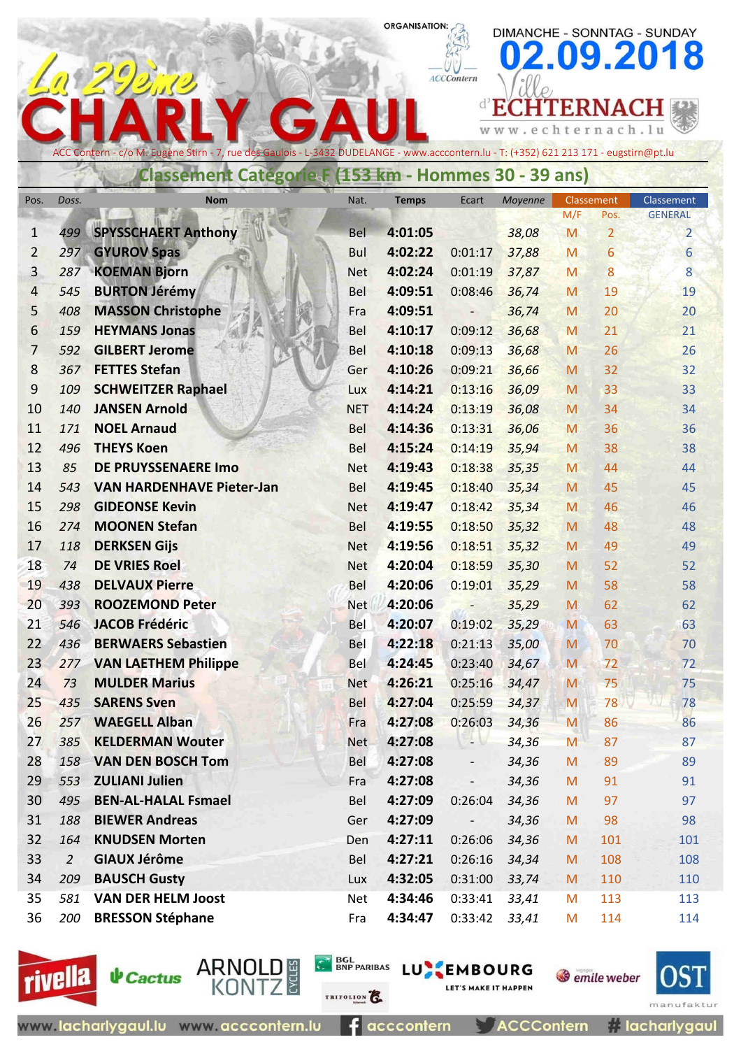### **ORGANISATION:**

DIMANCHE - SONNTAG - SUNDAY

 $\bm{0}$ 

ACCContern

2.09.2018

|                |                |                                                                                                                                        |            |              | <b>ACCContern</b>        |                   |            |                        |                                  |
|----------------|----------------|----------------------------------------------------------------------------------------------------------------------------------------|------------|--------------|--------------------------|-------------------|------------|------------------------|----------------------------------|
|                |                |                                                                                                                                        |            |              |                          | E.                |            | <b>TERNACH</b>         |                                  |
|                |                |                                                                                                                                        |            |              |                          | www.echternach.lu |            |                        |                                  |
|                |                |                                                                                                                                        |            |              |                          |                   |            |                        |                                  |
|                |                | ACC Contern - c/o M. Eugène Stirn - 7, rue des Gaulois - L-3432 DUDELANGE - www.acccontern.lu - T: (+352) 621 213 171 - eugstirn@pt.lu |            |              |                          |                   |            |                        |                                  |
|                |                | Classement Catégorie F (153 km - Hommes 30 - 39 ans)                                                                                   |            |              |                          |                   |            |                        |                                  |
| Pos.           | Doss.          | <b>Nom</b>                                                                                                                             | Nat.       | <b>Temps</b> | Ecart                    | Moyenne           | Classement |                        | Classement                       |
| 1              | 499            | <b>SPYSSCHAERT Anthony</b>                                                                                                             | Bel        | 4:01:05      |                          | 38,08             | M/F<br>M   | Pos.<br>$\overline{2}$ | <b>GENERAL</b><br>$\overline{2}$ |
| $\overline{2}$ | 297            | <b>GYUROV Spas</b>                                                                                                                     | <b>Bul</b> | 4:02:22      | 0:01:17                  | 37,88             | M          | 6                      | 6                                |
| 3              | 287            | <b>KOEMAN Bjorn</b>                                                                                                                    | <b>Net</b> | 4:02:24      | 0:01:19                  | 37,87             | M          | 8                      | 8                                |
| 4              | 545            | <b>BURTON Jérémy</b>                                                                                                                   | <b>Bel</b> | 4:09:51      | 0:08:46                  | 36,74             | M          | 19                     | 19                               |
| 5              | 408            | <b>MASSON Christophe</b>                                                                                                               | Fra        | 4:09:51      |                          | 36,74             | M          | 20                     | 20                               |
| 6              | 159            | <b>HEYMANS Jonas</b>                                                                                                                   | <b>Bel</b> | 4:10:17      | 0:09:12                  | 36,68             | M          | 21                     | 21                               |
| 7              | 592            | <b>GILBERT Jerome</b>                                                                                                                  | Bel        | 4:10:18      | 0:09:13                  | 36,68             | M          | 26                     | 26                               |
| 8              | 367            | <b>FETTES Stefan</b>                                                                                                                   | Ger        | 4:10:26      | 0:09:21                  | 36,66             | M          | 32                     | 32                               |
| 9              | 109            | <b>SCHWEITZER Raphael</b>                                                                                                              | Lux        | 4:14:21      | 0:13:16                  | 36,09             | M          | 33                     | 33                               |
| 10             | 140            | <b>JANSEN Arnold</b>                                                                                                                   | <b>NET</b> | 4:14:24      | 0:13:19                  | 36,08             | M          | 34                     | 34                               |
| 11             | 171            | <b>NOEL Arnaud</b>                                                                                                                     | Bel        | 4:14:36      | 0:13:31                  | 36,06             | M          | 36                     | 36                               |
| 12             | 496            | <b>THEYS Koen</b>                                                                                                                      | Bel        | 4:15:24      | 0:14:19                  | 35,94             | M          | 38                     | 38                               |
| 13             | 85             | <b>DE PRUYSSENAERE Imo</b>                                                                                                             | <b>Net</b> | 4:19:43      | 0:18:38                  | 35,35             | M          | 44                     | 44                               |
| 14             | 543            | <b>VAN HARDENHAVE Pieter-Jan</b>                                                                                                       | Bel        | 4:19:45      | 0:18:40                  | 35,34             | M          | 45                     | 45                               |
| 15             | 298            | <b>GIDEONSE Kevin</b>                                                                                                                  | <b>Net</b> | 4:19:47      | 0:18:42                  | 35,34             | M          | 46                     | 46                               |
| 16             | 274            | <b>MOONEN Stefan</b>                                                                                                                   | <b>Bel</b> | 4:19:55      | 0:18:50                  | 35,32             | M          | 48                     | 48                               |
| 17             | 118            | <b>DERKSEN Gijs</b>                                                                                                                    | <b>Net</b> | 4:19:56      | 0:18:51                  | 35,32             | M          | 49                     | 49                               |
| 18             | 74             | <b>DE VRIES Roel</b>                                                                                                                   | <b>Net</b> | 4:20:04      | 0:18:59                  | 35,30             | M          | 52                     | 52                               |
| 19             | 438            | <b>DELVAUX Pierre</b>                                                                                                                  | Bel        | 4:20:06      | 0:19:01                  | 35,29             | M          | 58                     | 58                               |
| 20             | 393            | <b>ROOZEMOND Peter</b>                                                                                                                 | <b>Net</b> | 4:20:06      |                          | 35,29             | M          | 62                     | 62                               |
| 21             | 546            | <b>JACOB Frédéric</b>                                                                                                                  | Bel        | 4:20:07      | 0:19:02                  | 35,29             | M          | 63                     | 63                               |
| 22             | 436            | <b>BERWAERS Sebastien</b>                                                                                                              | Bel        | 4:22:18      | 0:21:13                  | 35,00             | M          | 70                     | 70                               |
| 23             | 277            | <b>VAN LAETHEM Philippe</b>                                                                                                            | Bel        | 4:24:45      | 0:23:40                  | 34,67             | M          | 72                     | 72                               |
| 24             | 73             | <b>MULDER Marius</b>                                                                                                                   | <b>Net</b> | 4:26:21      | 0:25:16                  | 34,47             | M          | 75                     | 75                               |
| 25             | 435            | <b>SARENS Sven</b>                                                                                                                     | <b>Bel</b> | 4:27:04      | 0:25:59                  | 34,37             | M          | 78                     | 78                               |
| 26             | 257            | <b>WAEGELL Alban</b>                                                                                                                   | Fra        | 4:27:08      | 0:26:03                  | 34,36             | M          | 86                     | 86                               |
| 27             | 385            | <b>KELDERMAN Wouter</b>                                                                                                                | <b>Net</b> | 4:27:08      | r v                      | 34,36             | M          | 87                     | 87                               |
| 28             | 158            | <b>VAN DEN BOSCH Tom</b>                                                                                                               | Bel        | 4:27:08      | $\overline{\phantom{a}}$ | 34,36             | M          | 89                     | 89                               |
| 29             | 553            | <b>ZULIANI Julien</b>                                                                                                                  | Fra        | 4:27:08      |                          | 34,36             | M          | 91                     | 91                               |
| 30             | 495            | <b>BEN-AL-HALAL Fsmael</b>                                                                                                             | Bel        | 4:27:09      | 0:26:04                  | 34,36             | M          | 97                     | 97                               |
| 31             | 188            | <b>BIEWER Andreas</b>                                                                                                                  | Ger        | 4:27:09      |                          | 34,36             | ${\sf M}$  | 98                     | 98                               |
| 32             | 164            | <b>KNUDSEN Morten</b>                                                                                                                  | Den        | 4:27:11      | 0:26:06                  | 34,36             | M          | 101                    | 101                              |
| 33             | $\overline{2}$ | <b>GIAUX Jérôme</b>                                                                                                                    | <b>Bel</b> | 4:27:21      | 0:26:16                  | 34,34             | M          | 108                    | 108                              |
| 34             | 209            | <b>BAUSCH Gusty</b>                                                                                                                    | Lux        | 4:32:05      | 0:31:00                  | 33,74             | M          | 110                    | 110                              |
| 35             | 581            | <b>VAN DER HELM Joost</b>                                                                                                              | Net        | 4:34:46      | 0:33:41                  | 33,41             | M          | 113                    | 113                              |
| 36             | 200            | <b>BRESSON Stéphane</b>                                                                                                                | Fra        | 4:34:47      | 0:33:42                  | 33,41             | M          | 114                    | 114                              |



 $An 293.0$ 



**CA BOL BARIBAS LU EMBOURG** 

**S** emile weber **LET'S MAKE IT HAPPEN** 



www.lacharlygaul.lu www.acccontern.lu

 $f$  acccontern

**ACCContern** 

**Elacharlygaul**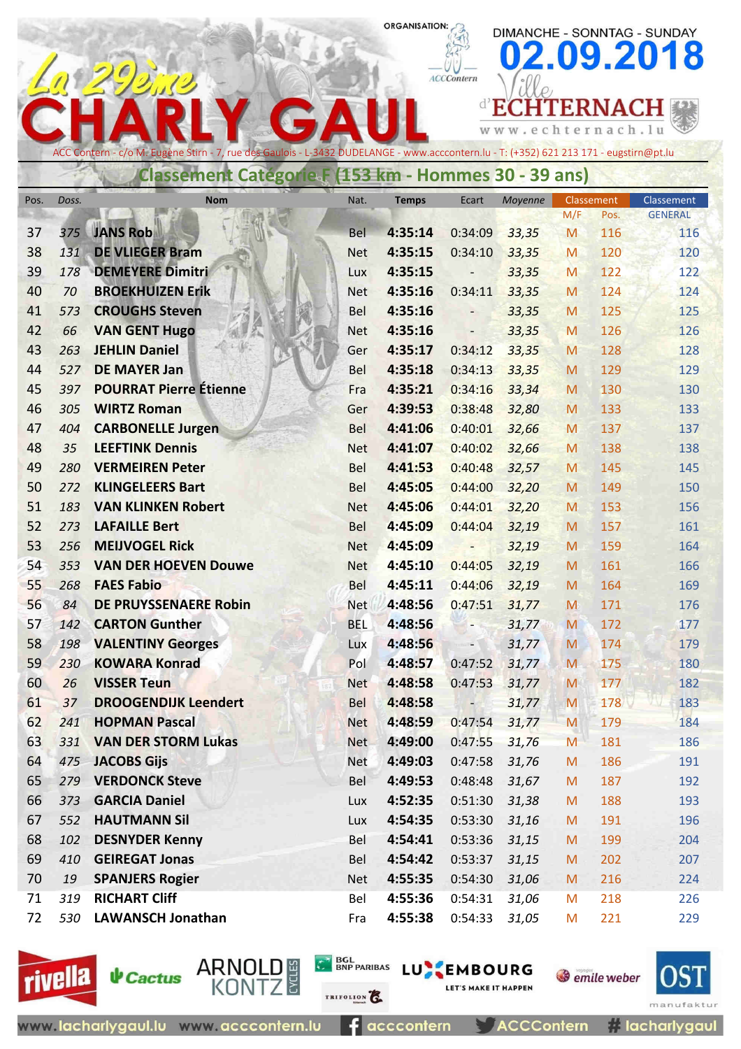## **ORGANISATION:**

G

 $\boldsymbol{\Lambda}$ 

 $ACCContern$ 

d'EC

w w w

DIMANCHE - SONNTAG - SUNDAY

**HTERNA** 

c h  $\mathbf t$ 

e

09.2018

ernach.lu

Щ

| ACC Contern - c/o M. Eugène Stirn - 7, rue des Gaulois - L-3432 DUDELANGE - www.acccontern.lu - T: (+352) 621 213 171 - eugstirn@pt.lu |       |                               |            |              |                          |         |           |            |                |
|----------------------------------------------------------------------------------------------------------------------------------------|-------|-------------------------------|------------|--------------|--------------------------|---------|-----------|------------|----------------|
| Classement Categorie F (153 km - Hommes 30 - 39 ans)                                                                                   |       |                               |            |              |                          |         |           |            |                |
| Pos.                                                                                                                                   | Doss. | <b>Nom</b>                    | Nat.       | <b>Temps</b> | Ecart                    | Moyenne |           | Classement | Classement     |
|                                                                                                                                        |       |                               |            |              |                          |         | M/F       | Pos.       | <b>GENERAL</b> |
| 37                                                                                                                                     | 375   | <b>JANS Rob</b>               | <b>Bel</b> | 4:35:14      | 0:34:09                  | 33,35   | M         | 116        | 116            |
| 38                                                                                                                                     | 131   | <b>DE VLIEGER Bram</b>        | <b>Net</b> | 4:35:15      | 0:34:10                  | 33,35   | M         | 120        | 120            |
| 39                                                                                                                                     | 178   | <b>DEMEYERE Dimitri</b>       | Lux        | 4:35:15      |                          | 33,35   | M         | 122        | 122            |
| 40                                                                                                                                     | 70    | <b>BROEKHUIZEN Erik</b>       | <b>Net</b> | 4:35:16      | 0:34:11                  | 33,35   | M         | 124        | 124            |
| 41                                                                                                                                     | 573   | <b>CROUGHS Steven</b>         | Bel        | 4:35:16      |                          | 33,35   | M         | 125        | 125            |
| 42                                                                                                                                     | 66    | <b>VAN GENT Hugo</b>          | <b>Net</b> | 4:35:16      | $\overline{\phantom{a}}$ | 33,35   | M         | 126        | 126            |
| 43                                                                                                                                     | 263   | <b>JEHLIN Daniel</b>          | Ger        | 4:35:17      | 0:34:12                  | 33,35   | M         | 128        | 128            |
| 44                                                                                                                                     | 527   | <b>DE MAYER Jan</b>           | Bel        | 4:35:18      | 0:34:13                  | 33,35   | M         | 129        | 129            |
| 45                                                                                                                                     | 397   | <b>POURRAT Pierre Étienne</b> | Fra        | 4:35:21      | 0:34:16                  | 33,34   | M         | 130        | 130            |
| 46                                                                                                                                     | 305   | <b>WIRTZ Roman</b>            | Ger        | 4:39:53      | 0:38:48                  | 32,80   | M         | 133        | 133            |
| 47                                                                                                                                     | 404   | <b>CARBONELLE Jurgen</b>      | Bel        | 4:41:06      | 0:40:01                  | 32,66   | M         | 137        | 137            |
| 48                                                                                                                                     | 35    | <b>LEEFTINK Dennis</b>        | <b>Net</b> | 4:41:07      | 0:40:02                  | 32,66   | M         | 138        | 138            |
| 49                                                                                                                                     | 280   | <b>VERMEIREN Peter</b>        | Bel        | 4:41:53      | 0:40:48                  | 32,57   | M         | 145        | 145            |
| 50                                                                                                                                     | 272   | <b>KLINGELEERS Bart</b>       | Bel        | 4:45:05      | 0:44:00                  | 32,20   | M         | 149        | 150            |
| 51                                                                                                                                     | 183   | <b>VAN KLINKEN Robert</b>     | <b>Net</b> | 4:45:06      | 0:44:01                  | 32,20   | M         | 153        | 156            |
| 52                                                                                                                                     | 273   | <b>LAFAILLE Bert</b>          | <b>Bel</b> | 4:45:09      | 0:44:04                  | 32,19   | M         | 157        | 161            |
| 53                                                                                                                                     | 256   | <b>MEIJVOGEL Rick</b>         | <b>Net</b> | 4:45:09      |                          | 32,19   | M         | 159        | 164            |
| 54                                                                                                                                     | 353   | <b>VAN DER HOEVEN Douwe</b>   | <b>Net</b> | 4:45:10      | 0:44:05                  | 32,19   | M         | 161        | 166            |
| 55                                                                                                                                     | 268   | <b>FAES Fabio</b>             | Bel        | 4:45:11      | 0:44:06                  | 32,19   | M         | 164        | 169            |
| 56                                                                                                                                     | 84    | DE PRUYSSENAERE Robin         | <b>Net</b> | 4:48:56      | 0:47:51                  | 31,77   | M         | 171        | 176            |
| 57                                                                                                                                     | 142   | <b>CARTON Gunther</b>         | <b>BEL</b> | 4:48:56      |                          | 31,77   | M         | 172        | 177            |
| 58                                                                                                                                     | 198   | <b>VALENTINY Georges</b>      | Lux        | 4:48:56      | ٠                        | 31,77   | M         | 174        | 179            |
| 59                                                                                                                                     | 230   | <b>KOWARA Konrad</b>          | Pol        | 4:48:57      | 0:47:52                  | 31,77   | M         | 175        | 180            |
| 60                                                                                                                                     | 26    | <b>VISSER Teun</b>            | <b>Net</b> | 4:48:58      | 0:47:53                  | 31,77   | M         | 177        | 182            |
| 61                                                                                                                                     | 37    | <b>DROOGENDIJK Leendert</b>   | <b>Bel</b> | 4:48:58      | $\overline{\phantom{0}}$ | 31,77   | M         | 178        | 183            |
| 62                                                                                                                                     | 241   | <b>HOPMAN Pascal</b>          | <b>Net</b> | 4:48:59      | 0:47:54                  | 31,77   | M         | 179        | 184            |
| 63                                                                                                                                     | 331   | <b>VAN DER STORM Lukas</b>    | <b>Net</b> | 4:49:00      | 0:47:55                  | 31,76   | M         | 181        | 186            |
| 64                                                                                                                                     | 475   | <b>JACOBS Gijs</b>            | Net        | 4:49:03      | 0:47:58                  | 31,76   | ${\sf M}$ | 186        | 191            |
| 65                                                                                                                                     | 279   | <b>VERDONCK Steve</b>         | Bel        | 4:49:53      | 0:48:48                  | 31,67   | M         | 187        | 192            |
| 66                                                                                                                                     | 373   | <b>GARCIA Daniel</b>          | Lux        | 4:52:35      | 0:51:30                  | 31,38   | ${\sf M}$ | 188        | 193            |
| 67                                                                                                                                     | 552   | <b>HAUTMANN Sil</b>           | Lux        | 4:54:35      | 0:53:30                  | 31,16   | M         | 191        | 196            |
| 68                                                                                                                                     | 102   | <b>DESNYDER Kenny</b>         | Bel        | 4:54:41      | 0:53:36                  | 31,15   | M         | 199        | 204            |
| 69                                                                                                                                     | 410   | <b>GEIREGAT Jonas</b>         | Bel        | 4:54:42      | 0:53:37                  | 31,15   | M         | 202        | 207            |
| 70                                                                                                                                     | 19    | <b>SPANJERS Rogier</b>        | <b>Net</b> | 4:55:35      | 0:54:30                  | 31,06   | M         | 216        | 224            |
| 71                                                                                                                                     | 319   | <b>RICHART Cliff</b>          | Bel        | 4:55:36      | 0:54:31                  | 31,06   | M         | 218        | 226            |
| 72                                                                                                                                     | 530   | <b>LAWANSCH Jonathan</b>      | Fra        | 4:55:38      | 0:54:33                  | 31,05   | M         | 221        | 229            |





BGL BNP PARIBAS LU EMBOURG

E 1

**LET'S MAKE IT HAPPEN** 



*i* lacharlygaul

La 29332

acccontern

**ACCContern**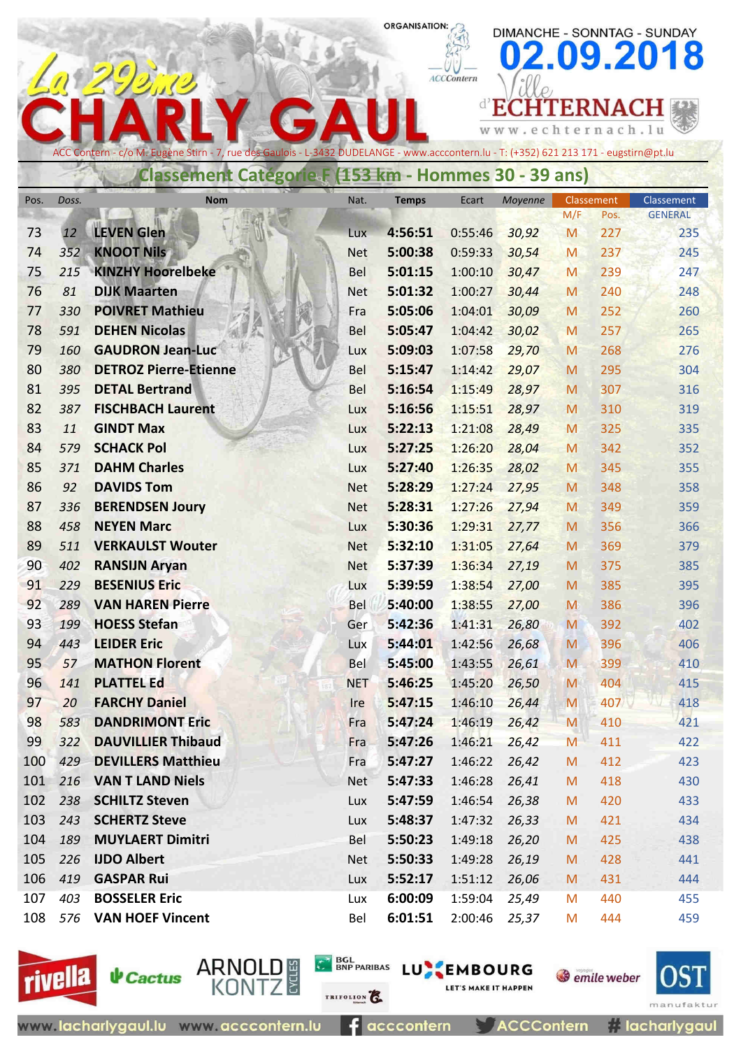# 09.2018 ACCContern **d'ECHTERNACH**

**ORGANISATION:** 

c h W W t e r n a c h . 1 u W  $\epsilon$ 

DIMANCHE - SONNTAG - SUNDAY

rue des Gaulois - L-3432 DUDELANGE - www.acccontern.lu - T: (+352) 621 213 171 - eugstirn@pt.lu

## **Classement Catégorie F (153 km - Hommes 30 - 39 ans)**

| Pos.     | Doss.      | <b>Nom</b>                                      | Nat.                     | Temps              | Ecart              | Moyenne        | Classement |            | Classement     |
|----------|------------|-------------------------------------------------|--------------------------|--------------------|--------------------|----------------|------------|------------|----------------|
|          |            |                                                 |                          |                    |                    |                | M/F        | Pos.       | <b>GENERAL</b> |
| 73       | 12         | <b>LEVEN Glen</b>                               | Lux                      | 4:56:51            | 0:55:46            | 30,92          | M          | 227        | 235            |
| 74       | 352        | <b>KNOOT Nils</b>                               | <b>Net</b>               | 5:00:38            | 0:59:33            | 30,54          | M          | 237        | 245            |
| 75       | 215        | <b>KINZHY Hoorelbeke</b>                        | <b>Bel</b>               | 5:01:15            | 1:00:10            | 30,47          | M          | 239        | 247            |
| 76       | 81         | <b>DIJK Maarten</b>                             | <b>Net</b>               | 5:01:32            | 1:00:27            | 30,44          | M          | 240        | 248            |
| 77       | 330        | <b>POIVRET Mathieu</b>                          | Fra                      | 5:05:06            | 1:04:01            | 30,09          | M          | 252        | 260            |
| 78<br>79 | 591        | <b>DEHEN Nicolas</b><br><b>GAUDRON Jean-Luc</b> | <b>Bel</b>               | 5:05:47<br>5:09:03 | 1:04:42            | 30,02          | M          | 257        | 265            |
| 80       | 160<br>380 | <b>DETROZ Pierre-Etienne</b>                    | Lux                      | 5:15:47            | 1:07:58<br>1:14:42 | 29,70<br>29,07 | M          | 268<br>295 | 276<br>304     |
| 81       | 395        | <b>DETAL Bertrand</b>                           | <b>Bel</b><br><b>Bel</b> | 5:16:54            | 1:15:49            | 28,97          | M<br>M     | 307        | 316            |
| 82       | 387        | <b>FISCHBACH Laurent</b>                        | Lux                      | 5:16:56            | 1:15:51            | 28,97          | M          | 310        | 319            |
| 83       | 11         | <b>GINDT Max</b>                                | Lux                      | 5:22:13            | 1:21:08            | 28,49          | M          | 325        | 335            |
| 84       | 579        | <b>SCHACK Pol</b>                               | Lux                      | 5:27:25            | 1:26:20            | 28,04          | M          | 342        | 352            |
| 85       | 371        | <b>DAHM Charles</b>                             | Lux                      | 5:27:40            | 1:26:35            | 28,02          | M          | 345        | 355            |
| 86       | 92         | <b>DAVIDS Tom</b>                               | <b>Net</b>               | 5:28:29            | 1:27:24            | 27,95          | M          | 348        | 358            |
| 87       | 336        | <b>BERENDSEN Joury</b>                          | <b>Net</b>               | 5:28:31            | 1:27:26            | 27,94          | M          | 349        | 359            |
| 88       | 458        | <b>NEYEN Marc</b>                               | Lux                      | 5:30:36            | 1:29:31            | 27,77          | M          | 356        | 366            |
| 89       | 511        | <b>VERKAULST Wouter</b>                         | <b>Net</b>               | 5:32:10            | 1:31:05            | 27,64          | M          | 369        | 379            |
| 90       | 402        | <b>RANSIJN Aryan</b>                            | <b>Net</b>               | 5:37:39            | 1:36:34            | 27,19          | M          | 375        | 385            |
| 91       | 229        | <b>BESENIUS Eric</b>                            | Lux                      | 5:39:59            | 1:38:54            | 27,00          | M          | 385        | 395            |
| 92       | 289        | <b>VAN HAREN Pierre</b>                         | <b>Bel</b>               | 5:40:00            | 1:38:55            | 27,00          | M          | 386        | 396            |
| 93       | 199        | <b>HOESS Stefan</b>                             | Ger                      | 5:42:36            | 1:41:31            | 26,80          | M          | 392        | 402            |
| 94       | 443        | <b>LEIDER Eric</b>                              | Lux                      | 5:44:01            | 1:42:56            | 26,68          | M          | 396        | 406            |
| 95       | 57         | <b>MATHON Florent</b>                           | <b>Bel</b>               | 5:45:00            | 1:43:55            | 26,61          | M          | 399        | 410            |
| 96       | 141        | <b>PLATTEL Ed</b>                               | <b>NET</b>               | 5:46:25            | 1:45:20            | 26,50          | M          | 404        | 415            |
| 97       | 20         | <b>FARCHY Daniel</b>                            | <b>Ire</b>               | 5:47:15            | 1:46:10            | 26,44          | M          | 407        | 418            |
| 98       | 583        | <b>DANDRIMONT Eric</b>                          | Fra                      | 5:47:24            | 1:46:19            | 26,42          | M          | 410        | 421            |
| 99       | 322        | <b>DAUVILLIER Thibaud</b>                       | Fra                      | 5:47:26            | 1:46:21            | 26,42          | M          | 411        | 422            |
| 100      | 429        | <b>DEVILLERS Matthieu</b>                       | Fra                      | 5:47:27            | 1:46:22            | 26,42          | M          | 412        | 423            |
| 101      | 216        | <b>VAN T LAND Niels</b>                         | <b>Net</b>               | 5:47:33            | 1:46:28            | 26,41          | M          | 418        | 430            |
| 102      | 238        | <b>SCHILTZ Steven</b>                           | Lux                      | 5:47:59            | 1:46:54            | 26,38          | M          | 420        | 433            |
| 103      | 243        | <b>SCHERTZ Steve</b>                            | Lux                      | 5:48:37            | 1:47:32            | 26,33          | M          | 421        | 434            |
| 104      | 189        | <b>MUYLAERT Dimitri</b>                         | <b>Bel</b>               | 5:50:23            | 1:49:18            | 26,20          | M          | 425        | 438            |
| 105      | 226        | <b>IJDO Albert</b>                              | Net                      | 5:50:33            | 1:49:28            | 26,19          | M          | 428        | 441            |
| 106      | 419        | <b>GASPAR Rui</b>                               | Lux                      | 5:52:17            | 1:51:12            | 26,06          | M          | 431        | 444            |
| 107      | 403        | <b>BOSSELER Eric</b>                            | Lux                      | 6:00:09            | 1:59:04            | 25,49          | M          | 440        | 455            |
| 108      | 576        | <b>VAN HOEF Vincent</b>                         | Bel                      | 6:01:51            | 2:00:46            | 25,37          | M          | 444        | 459            |



**↓** Cactus

ARNOLD #<br>KONTZ

TRIFOLION<sup>2</sup>

**C**<sup>N</sup>BSL<sub>BNP PARIBAS LUNEMBOURG</sub>

**ACCContern** 

**LET'S MAKE IT HAPPEN** 

**S** emile weber